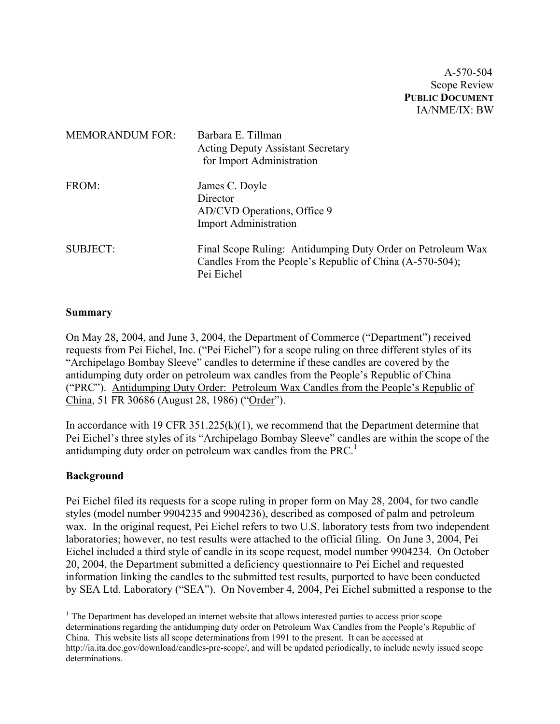A-570-504 Scope Review **PUBLIC DOCUMENT** IA/NME/IX: BW

| <b>MEMORANDUM FOR:</b> | Barbara E. Tillman<br><b>Acting Deputy Assistant Secretary</b><br>for Import Administration                                           |
|------------------------|---------------------------------------------------------------------------------------------------------------------------------------|
| FROM:                  | James C. Doyle<br>Director<br>AD/CVD Operations, Office 9<br><b>Import Administration</b>                                             |
| <b>SUBJECT:</b>        | Final Scope Ruling: Antidumping Duty Order on Petroleum Wax<br>Candles From the People's Republic of China (A-570-504);<br>Pei Eichel |

# **Summary**

On May 28, 2004, and June 3, 2004, the Department of Commerce ("Department") received requests from Pei Eichel, Inc. ("Pei Eichel") for a scope ruling on three different styles of its "Archipelago Bombay Sleeve" candles to determine if these candles are covered by the antidumping duty order on petroleum wax candles from the People's Republic of China ("PRC"). Antidumping Duty Order: Petroleum Wax Candles from the People's Republic of China, 51 FR 30686 (August 28, 1986) ("Order").

In accordance with 19 CFR  $351.225(k)(1)$ , we recommend that the Department determine that Pei Eichel's three styles of its "Archipelago Bombay Sleeve" candles are within the scope of the antidumping duty order on petroleum wax candles from the PRC.<sup>[1](#page-0-0)</sup>

# **Background**

 $\overline{a}$ 

Pei Eichel filed its requests for a scope ruling in proper form on May 28, 2004, for two candle styles (model number 9904235 and 9904236), described as composed of palm and petroleum wax. In the original request, Pei Eichel refers to two U.S. laboratory tests from two independent laboratories; however, no test results were attached to the official filing. On June 3, 2004, Pei Eichel included a third style of candle in its scope request, model number 9904234. On October 20, 2004, the Department submitted a deficiency questionnaire to Pei Eichel and requested information linking the candles to the submitted test results, purported to have been conducted by SEA Ltd. Laboratory ("SEA"). On November 4, 2004, Pei Eichel submitted a response to the

<span id="page-0-0"></span><sup>1</sup> The Department has developed an internet website that allows interested parties to access prior scope determinations regarding the antidumping duty order on Petroleum Wax Candles from the People's Republic of China. This website lists all scope determinations from 1991 to the present. It can be accessed at <http://ia.ita.doc.gov/download/candles-prc-scope/,>and will be updated periodically, to include newly issued scope determinations.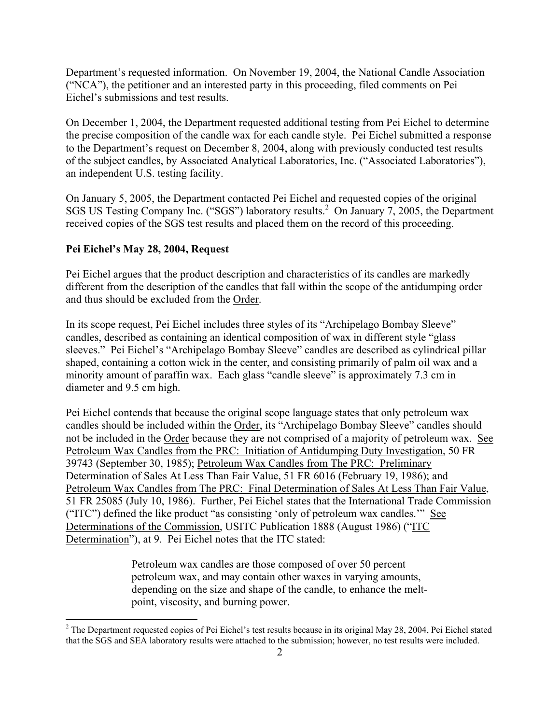Department's requested information. On November 19, 2004, the National Candle Association ("NCA"), the petitioner and an interested party in this proceeding, filed comments on Pei Eichel's submissions and test results.

On December 1, 2004, the Department requested additional testing from Pei Eichel to determine the precise composition of the candle wax for each candle style. Pei Eichel submitted a response to the Department's request on December 8, 2004, along with previously conducted test results of the subject candles, by Associated Analytical Laboratories, Inc. ("Associated Laboratories"), an independent U.S. testing facility.

On January 5, 2005, the Department contacted Pei Eichel and requested copies of the original SGS US Testing Company Inc. ("SGS") laboratory results.<sup>[2](#page-1-0)</sup> On January 7, 2005, the Department received copies of the SGS test results and placed them on the record of this proceeding.

## **Pei Eichel's May 28, 2004, Request**

 $\overline{a}$ 

Pei Eichel argues that the product description and characteristics of its candles are markedly different from the description of the candles that fall within the scope of the antidumping order and thus should be excluded from the Order.

In its scope request, Pei Eichel includes three styles of its "Archipelago Bombay Sleeve" candles, described as containing an identical composition of wax in different style "glass sleeves." Pei Eichel's "Archipelago Bombay Sleeve" candles are described as cylindrical pillar shaped, containing a cotton wick in the center, and consisting primarily of palm oil wax and a minority amount of paraffin wax. Each glass "candle sleeve" is approximately 7.3 cm in diameter and 9.5 cm high.

Pei Eichel contends that because the original scope language states that only petroleum wax candles should be included within the Order, its "Archipelago Bombay Sleeve" candles should not be included in the Order because they are not comprised of a majority of petroleum wax. See Petroleum Wax Candles from the PRC: Initiation of Antidumping Duty Investigation, 50 FR 39743 (September 30, 1985); Petroleum Wax Candles from The PRC: Preliminary Determination of Sales At Less Than Fair Value, 51 FR 6016 (February 19, 1986); and Petroleum Wax Candles from The PRC: Final Determination of Sales At Less Than Fair Value, 51 FR 25085 (July 10, 1986). Further, Pei Eichel states that the International Trade Commission ("ITC") defined the like product "as consisting 'only of petroleum wax candles.'" See Determinations of the Commission, USITC Publication 1888 (August 1986) ("ITC Determination"), at 9. Pei Eichel notes that the ITC stated:

> Petroleum wax candles are those composed of over 50 percent petroleum wax, and may contain other waxes in varying amounts, depending on the size and shape of the candle, to enhance the meltpoint, viscosity, and burning power.

<span id="page-1-0"></span> $2^2$  The Department requested copies of Pei Eichel's test results because in its original May 28, 2004, Pei Eichel stated that the SGS and SEA laboratory results were attached to the submission; however, no test results were included.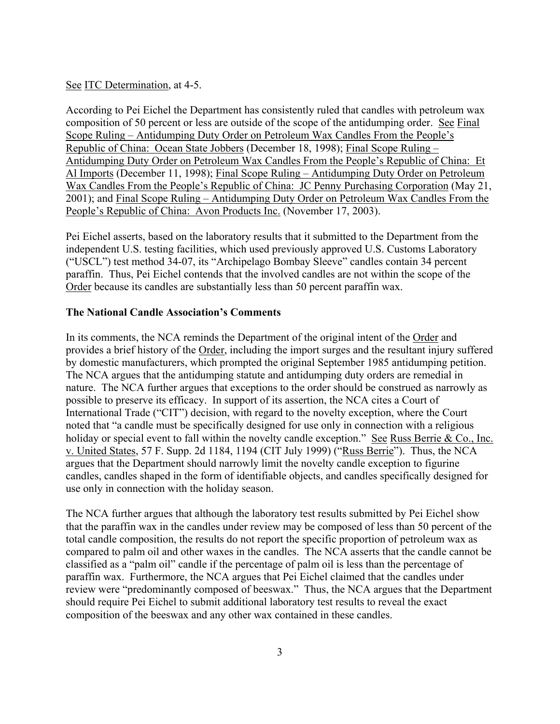### See ITC Determination, at 4-5.

According to Pei Eichel the Department has consistently ruled that candles with petroleum wax composition of 50 percent or less are outside of the scope of the antidumping order. See Final Scope Ruling – Antidumping Duty Order on Petroleum Wax Candles From the People's Republic of China: Ocean State Jobbers (December 18, 1998); Final Scope Ruling – Antidumping Duty Order on Petroleum Wax Candles From the People's Republic of China: Et Al Imports (December 11, 1998); Final Scope Ruling – Antidumping Duty Order on Petroleum Wax Candles From the People's Republic of China: JC Penny Purchasing Corporation (May 21, 2001); and Final Scope Ruling – Antidumping Duty Order on Petroleum Wax Candles From the People's Republic of China: Avon Products Inc. (November 17, 2003).

Pei Eichel asserts, based on the laboratory results that it submitted to the Department from the independent U.S. testing facilities, which used previously approved U.S. Customs Laboratory ("USCL") test method 34-07, its "Archipelago Bombay Sleeve" candles contain 34 percent paraffin. Thus, Pei Eichel contends that the involved candles are not within the scope of the Order because its candles are substantially less than 50 percent paraffin wax.

### **The National Candle Association's Comments**

In its comments, the NCA reminds the Department of the original intent of the Order and provides a brief history of the Order, including the import surges and the resultant injury suffered by domestic manufacturers, which prompted the original September 1985 antidumping petition. The NCA argues that the antidumping statute and antidumping duty orders are remedial in nature. The NCA further argues that exceptions to the order should be construed as narrowly as possible to preserve its efficacy. In support of its assertion, the NCA cites a Court of International Trade ("CIT") decision, with regard to the novelty exception, where the Court noted that "a candle must be specifically designed for use only in connection with a religious holiday or special event to fall within the novelty candle exception." See Russ Berrie & Co., Inc. v. United States, 57 F. Supp. 2d 1184, 1194 (CIT July 1999) ("Russ Berrie"). Thus, the NCA argues that the Department should narrowly limit the novelty candle exception to figurine candles, candles shaped in the form of identifiable objects, and candles specifically designed for use only in connection with the holiday season.

The NCA further argues that although the laboratory test results submitted by Pei Eichel show that the paraffin wax in the candles under review may be composed of less than 50 percent of the total candle composition, the results do not report the specific proportion of petroleum wax as compared to palm oil and other waxes in the candles. The NCA asserts that the candle cannot be classified as a "palm oil" candle if the percentage of palm oil is less than the percentage of paraffin wax. Furthermore, the NCA argues that Pei Eichel claimed that the candles under review were "predominantly composed of beeswax." Thus, the NCA argues that the Department should require Pei Eichel to submit additional laboratory test results to reveal the exact composition of the beeswax and any other wax contained in these candles.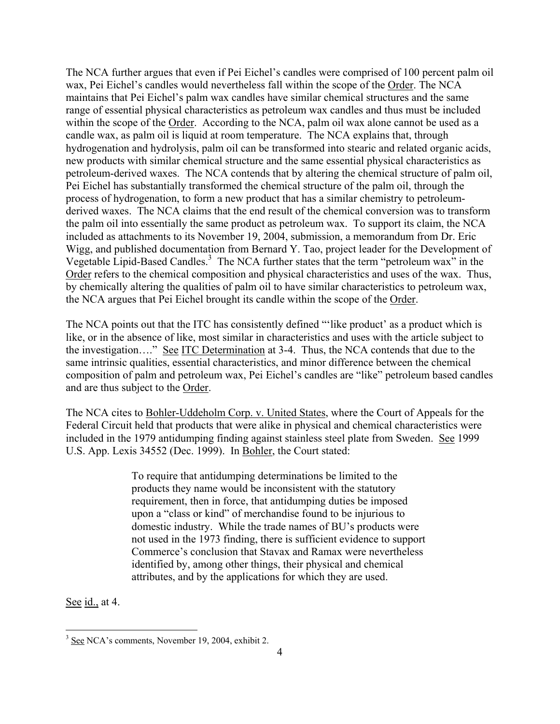The NCA further argues that even if Pei Eichel's candles were comprised of 100 percent palm oil wax, Pei Eichel's candles would nevertheless fall within the scope of the Order. The NCA maintains that Pei Eichel's palm wax candles have similar chemical structures and the same range of essential physical characteristics as petroleum wax candles and thus must be included within the scope of the Order. According to the NCA, palm oil wax alone cannot be used as a candle wax, as palm oil is liquid at room temperature. The NCA explains that, through hydrogenation and hydrolysis, palm oil can be transformed into stearic and related organic acids, new products with similar chemical structure and the same essential physical characteristics as petroleum-derived waxes. The NCA contends that by altering the chemical structure of palm oil, Pei Eichel has substantially transformed the chemical structure of the palm oil, through the process of hydrogenation, to form a new product that has a similar chemistry to petroleumderived waxes. The NCA claims that the end result of the chemical conversion was to transform the palm oil into essentially the same product as petroleum wax. To support its claim, the NCA included as attachments to its November 19, 2004, submission, a memorandum from Dr. Eric Wigg, and published documentation from Bernard Y. Tao, project leader for the Development of Vegetable Lipid-Based Candles.<sup>[3](#page-3-0)</sup> The NCA further states that the term "petroleum wax" in the Order refers to the chemical composition and physical characteristics and uses of the wax. Thus, by chemically altering the qualities of palm oil to have similar characteristics to petroleum wax, the NCA argues that Pei Eichel brought its candle within the scope of the Order.

The NCA points out that the ITC has consistently defined "'like product' as a product which is like, or in the absence of like, most similar in characteristics and uses with the article subject to the investigation…." See ITC Determination at 3-4. Thus, the NCA contends that due to the same intrinsic qualities, essential characteristics, and minor difference between the chemical composition of palm and petroleum wax, Pei Eichel's candles are "like" petroleum based candles and are thus subject to the Order.

The NCA cites to Bohler-Uddeholm Corp. v. United States, where the Court of Appeals for the Federal Circuit held that products that were alike in physical and chemical characteristics were included in the 1979 antidumping finding against stainless steel plate from Sweden. See 1999 U.S. App. Lexis 34552 (Dec. 1999). In Bohler, the Court stated:

> To require that antidumping determinations be limited to the products they name would be inconsistent with the statutory requirement, then in force, that antidumping duties be imposed upon a "class or kind" of merchandise found to be injurious to domestic industry. While the trade names of BU's products were not used in the 1973 finding, there is sufficient evidence to support Commerce's conclusion that Stavax and Ramax were nevertheless identified by, among other things, their physical and chemical attributes, and by the applications for which they are used.

See id., at 4.

<span id="page-3-0"></span><sup>&</sup>lt;sup>3</sup> See NCA's comments, November 19, 2004, exhibit 2.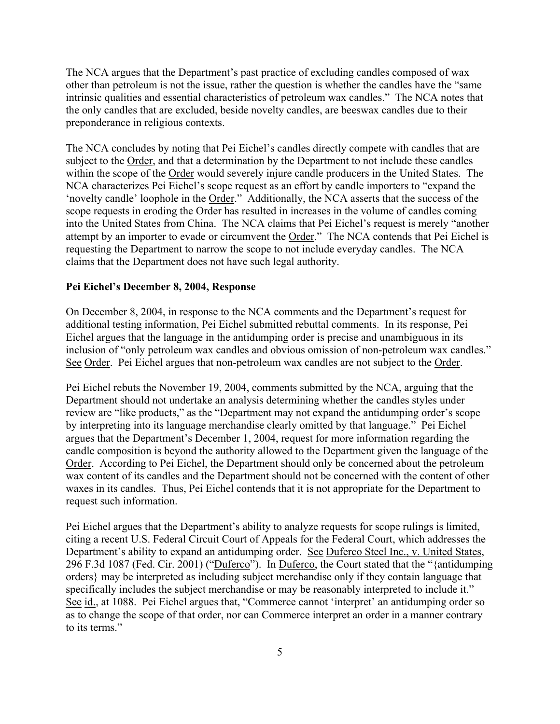The NCA argues that the Department's past practice of excluding candles composed of wax other than petroleum is not the issue, rather the question is whether the candles have the "same intrinsic qualities and essential characteristics of petroleum wax candles." The NCA notes that the only candles that are excluded, beside novelty candles, are beeswax candles due to their preponderance in religious contexts.

The NCA concludes by noting that Pei Eichel's candles directly compete with candles that are subject to the Order, and that a determination by the Department to not include these candles within the scope of the Order would severely injure candle producers in the United States. The NCA characterizes Pei Eichel's scope request as an effort by candle importers to "expand the 'novelty candle' loophole in the Order." Additionally, the NCA asserts that the success of the scope requests in eroding the Order has resulted in increases in the volume of candles coming into the United States from China. The NCA claims that Pei Eichel's request is merely "another attempt by an importer to evade or circumvent the Order." The NCA contends that Pei Eichel is requesting the Department to narrow the scope to not include everyday candles. The NCA claims that the Department does not have such legal authority.

## **Pei Eichel's December 8, 2004, Response**

On December 8, 2004, in response to the NCA comments and the Department's request for additional testing information, Pei Eichel submitted rebuttal comments. In its response, Pei Eichel argues that the language in the antidumping order is precise and unambiguous in its inclusion of "only petroleum wax candles and obvious omission of non-petroleum wax candles." See Order. Pei Eichel argues that non-petroleum wax candles are not subject to the Order.

Pei Eichel rebuts the November 19, 2004, comments submitted by the NCA, arguing that the Department should not undertake an analysis determining whether the candles styles under review are "like products," as the "Department may not expand the antidumping order's scope by interpreting into its language merchandise clearly omitted by that language." Pei Eichel argues that the Department's December 1, 2004, request for more information regarding the candle composition is beyond the authority allowed to the Department given the language of the Order. According to Pei Eichel, the Department should only be concerned about the petroleum wax content of its candles and the Department should not be concerned with the content of other waxes in its candles. Thus, Pei Eichel contends that it is not appropriate for the Department to request such information.

Pei Eichel argues that the Department's ability to analyze requests for scope rulings is limited, citing a recent U.S. Federal Circuit Court of Appeals for the Federal Court, which addresses the Department's ability to expand an antidumping order. See Duferco Steel Inc., v. United States, 296 F.3d 1087 (Fed. Cir. 2001) ("Duferco"). In Duferco, the Court stated that the "{antidumping orders} may be interpreted as including subject merchandise only if they contain language that specifically includes the subject merchandise or may be reasonably interpreted to include it." See id., at 1088. Pei Eichel argues that, "Commerce cannot 'interpret' an antidumping order so as to change the scope of that order, nor can Commerce interpret an order in a manner contrary to its terms."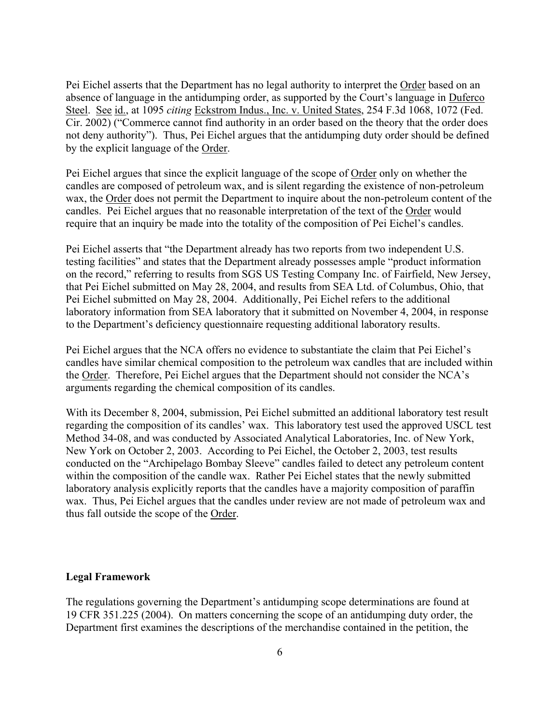Pei Eichel asserts that the Department has no legal authority to interpret the Order based on an absence of language in the antidumping order, as supported by the Court's language in Duferco Steel. See id., at 1095 *citing* Eckstrom Indus., Inc. v. United States, 254 F.3d 1068, 1072 (Fed. Cir. 2002) ("Commerce cannot find authority in an order based on the theory that the order does not deny authority"). Thus, Pei Eichel argues that the antidumping duty order should be defined by the explicit language of the Order.

Pei Eichel argues that since the explicit language of the scope of Order only on whether the candles are composed of petroleum wax, and is silent regarding the existence of non-petroleum wax, the Order does not permit the Department to inquire about the non-petroleum content of the candles. Pei Eichel argues that no reasonable interpretation of the text of the Order would require that an inquiry be made into the totality of the composition of Pei Eichel's candles.

Pei Eichel asserts that "the Department already has two reports from two independent U.S. testing facilities" and states that the Department already possesses ample "product information on the record," referring to results from SGS US Testing Company Inc. of Fairfield, New Jersey, that Pei Eichel submitted on May 28, 2004, and results from SEA Ltd. of Columbus, Ohio, that Pei Eichel submitted on May 28, 2004. Additionally, Pei Eichel refers to the additional laboratory information from SEA laboratory that it submitted on November 4, 2004, in response to the Department's deficiency questionnaire requesting additional laboratory results.

Pei Eichel argues that the NCA offers no evidence to substantiate the claim that Pei Eichel's candles have similar chemical composition to the petroleum wax candles that are included within the Order. Therefore, Pei Eichel argues that the Department should not consider the NCA's arguments regarding the chemical composition of its candles.

With its December 8, 2004, submission, Pei Eichel submitted an additional laboratory test result regarding the composition of its candles' wax. This laboratory test used the approved USCL test Method 34-08, and was conducted by Associated Analytical Laboratories, Inc. of New York, New York on October 2, 2003. According to Pei Eichel, the October 2, 2003, test results conducted on the "Archipelago Bombay Sleeve" candles failed to detect any petroleum content within the composition of the candle wax. Rather Pei Eichel states that the newly submitted laboratory analysis explicitly reports that the candles have a majority composition of paraffin wax. Thus, Pei Eichel argues that the candles under review are not made of petroleum wax and thus fall outside the scope of the Order.

#### **Legal Framework**

The regulations governing the Department's antidumping scope determinations are found at 19 CFR 351.225 (2004). On matters concerning the scope of an antidumping duty order, the Department first examines the descriptions of the merchandise contained in the petition, the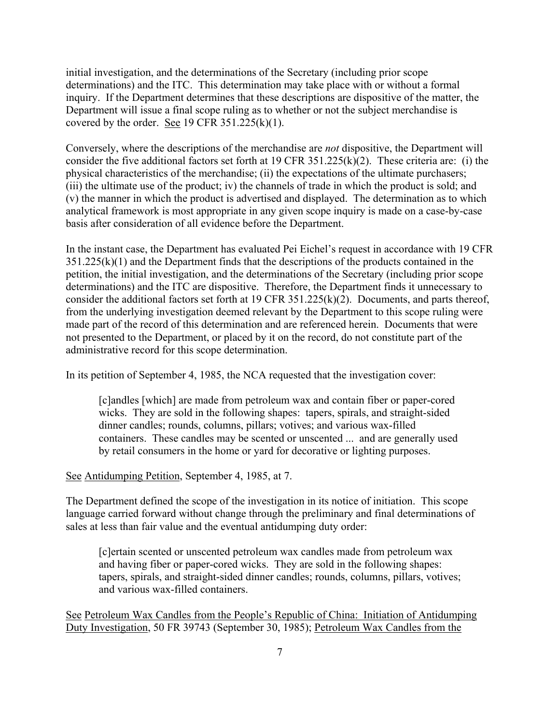initial investigation, and the determinations of the Secretary (including prior scope determinations) and the ITC. This determination may take place with or without a formal inquiry. If the Department determines that these descriptions are dispositive of the matter, the Department will issue a final scope ruling as to whether or not the subject merchandise is covered by the order. See 19 CFR  $351.225(k)(1)$ .

Conversely, where the descriptions of the merchandise are *not* dispositive, the Department will consider the five additional factors set forth at 19 CFR 351.225(k)(2). These criteria are: (i) the physical characteristics of the merchandise; (ii) the expectations of the ultimate purchasers; (iii) the ultimate use of the product; iv) the channels of trade in which the product is sold; and (v) the manner in which the product is advertised and displayed. The determination as to which analytical framework is most appropriate in any given scope inquiry is made on a case-by-case basis after consideration of all evidence before the Department.

In the instant case, the Department has evaluated Pei Eichel's request in accordance with 19 CFR  $351.225(k)(1)$  and the Department finds that the descriptions of the products contained in the petition, the initial investigation, and the determinations of the Secretary (including prior scope determinations) and the ITC are dispositive. Therefore, the Department finds it unnecessary to consider the additional factors set forth at 19 CFR 351.225(k)(2). Documents, and parts thereof, from the underlying investigation deemed relevant by the Department to this scope ruling were made part of the record of this determination and are referenced herein. Documents that were not presented to the Department, or placed by it on the record, do not constitute part of the administrative record for this scope determination.

In its petition of September 4, 1985, the NCA requested that the investigation cover:

[c]andles [which] are made from petroleum wax and contain fiber or paper-cored wicks. They are sold in the following shapes: tapers, spirals, and straight-sided dinner candles; rounds, columns, pillars; votives; and various wax-filled containers. These candles may be scented or unscented ... and are generally used by retail consumers in the home or yard for decorative or lighting purposes.

### See Antidumping Petition, September 4, 1985, at 7.

The Department defined the scope of the investigation in its notice of initiation. This scope language carried forward without change through the preliminary and final determinations of sales at less than fair value and the eventual antidumping duty order:

[c]ertain scented or unscented petroleum wax candles made from petroleum wax and having fiber or paper-cored wicks. They are sold in the following shapes: tapers, spirals, and straight-sided dinner candles; rounds, columns, pillars, votives; and various wax-filled containers.

See Petroleum Wax Candles from the People's Republic of China: Initiation of Antidumping Duty Investigation, 50 FR 39743 (September 30, 1985); Petroleum Wax Candles from the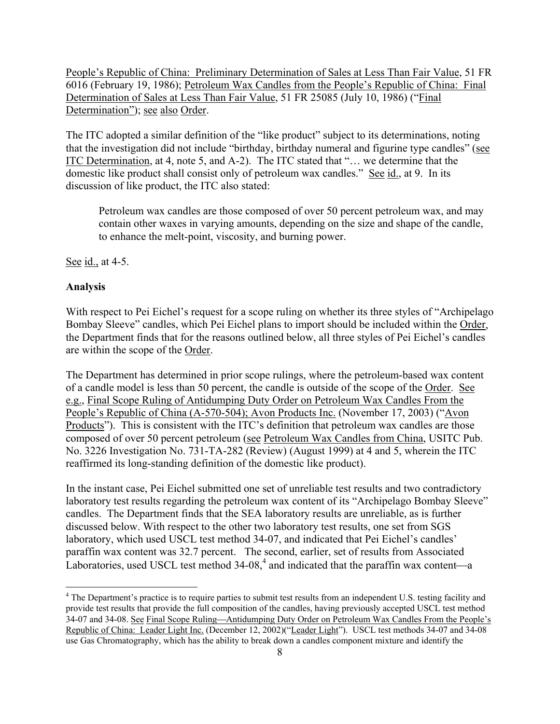<span id="page-7-0"></span>People's Republic of China: Preliminary Determination of Sales at Less Than Fair Value, 51 FR 6016 (February 19, 1986); Petroleum Wax Candles from the People's Republic of China: Final Determination of Sales at Less Than Fair Value, 51 FR 25085 (July 10, 1986) ("Final Determination"); see also Order.

The ITC adopted a similar definition of the "like product" subject to its determinations, noting that the investigation did not include "birthday, birthday numeral and figurine type candles" (see ITC Determination, at 4, note 5, and A-2). The ITC stated that "… we determine that the domestic like product shall consist only of petroleum wax candles." See id., at 9. In its discussion of like product, the ITC also stated:

Petroleum wax candles are those composed of over 50 percent petroleum wax, and may contain other waxes in varying amounts, depending on the size and shape of the candle, to enhance the melt-point, viscosity, and burning power.

See id., at 4-5.

### **Analysis**

1

With respect to Pei Eichel's request for a scope ruling on whether its three styles of "Archipelago Bombay Sleeve" candles, which Pei Eichel plans to import should be included within the Order, the Department finds that for the reasons outlined below, all three styles of Pei Eichel's candles are within the scope of the Order.

The Department has determined in prior scope rulings, where the petroleum-based wax content of a candle model is less than 50 percent, the candle is outside of the scope of the Order. See e.g., Final Scope Ruling of Antidumping Duty Order on Petroleum Wax Candles From the People's Republic of China (A-570-504); Avon Products Inc. (November 17, 2003) ("Avon Products"). This is consistent with the ITC's definition that petroleum wax candles are those composed of over 50 percent petroleum (see Petroleum Wax Candles from China, USITC Pub. No. 3226 Investigation No. 731-TA-282 (Review) (August 1999) at 4 and 5, wherein the ITC reaffirmed its long-standing definition of the domestic like product).

In the instant case, Pei Eichel submitted one set of unreliable test results and two contradictory laboratory test results regarding the petroleum wax content of its "Archipelago Bombay Sleeve" candles. The Department finds that the SEA laboratory results are unreliable, as is further discussed below. With respect to the other two laboratory test results, one set from SGS laboratory, which used USCL test method 34-07, and indicated that Pei Eichel's candles' paraffin wax content was 32.7 percent. The second, earlier, set of results from Associated Laboratories, used USCL test method  $34-08<sup>4</sup>$  $34-08<sup>4</sup>$  $34-08<sup>4</sup>$  and indicated that the paraffin wax content—a

<sup>&</sup>lt;sup>4</sup> The Department's practice is to require parties to submit test results from an independent U.S. testing facility and provide test results that provide the full composition of the candles, having previously accepted USCL test method 34-07 and 34-08. See Final Scope Ruling—Antidumping Duty Order on Petroleum Wax Candles From the People's Republic of China: Leader Light Inc. (December 12, 2002)("Leader Light"). USCL test methods 34-07 and 34-08 use Gas Chromatography, which has the ability to break down a candles component mixture and identify the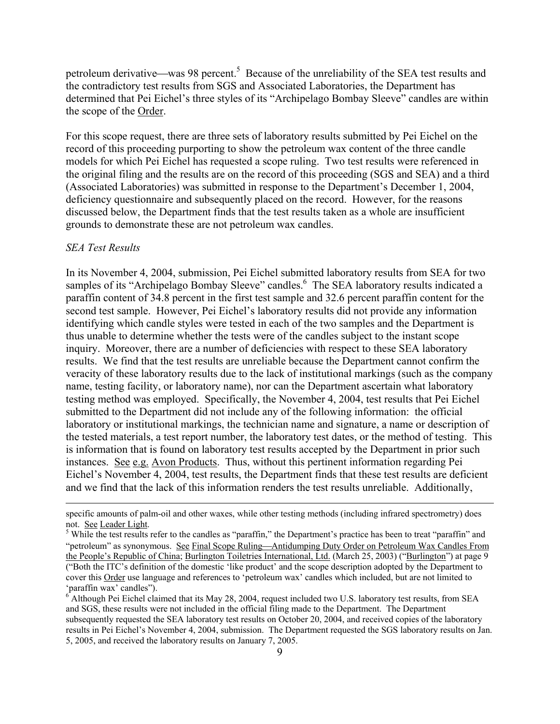petroleum derivative—was 98 percent.<sup>[5](#page-8-0)</sup> Because of the unreliability of the SEA test results and the contradictory test results from SGS and Associated Laboratories, the Department has determined that Pei Eichel's three styles of its "Archipelago Bombay Sleeve" candles are within the scope of the Order.

For this scope request, there are three sets of laboratory results submitted by Pei Eichel on the record of this proceeding purporting to show the petroleum wax content of the three candle models for which Pei Eichel has requested a scope ruling. Two test results were referenced in the original filing and the results are on the record of this proceeding (SGS and SEA) and a third (Associated Laboratories) was submitted in response to the Department's December 1, 2004, deficiency questionnaire and subsequently placed on the record. However, for the reasons discussed below, the Department finds that the test results taken as a whole are insufficient grounds to demonstrate these are not petroleum wax candles.

#### *SEA Test Results*

In its November 4, 2004, submission, Pei Eichel submitted laboratory results from SEA for two samples of its "Archipelago Bombay Sleeve" candles.<sup>[6](#page-8-1)</sup> The SEA laboratory results indicated a paraffin content of 34.8 percent in the first test sample and 32.6 percent paraffin content for the second test sample. However, Pei Eichel's laboratory results did not provide any information identifying which candle styles were tested in each of the two samples and the Department is thus unable to determine whether the tests were of the candles subject to the instant scope inquiry. Moreover, there are a number of deficiencies with respect to these SEA laboratory results. We find that the test results are unreliable because the Department cannot confirm the veracity of these laboratory results due to the lack of institutional markings (such as the company name, testing facility, or laboratory name), nor can the Department ascertain what laboratory testing method was employed. Specifically, the November 4, 2004, test results that Pei Eichel submitted to the Department did not include any of the following information: the official laboratory or institutional markings, the technician name and signature, a name or description of the tested materials, a test report number, the laboratory test dates, or the method of testing. This is information that is found on laboratory test results accepted by the Department in prior such instances. See e.g. Avon Products. Thus, without this pertinent information regarding Pei Eichel's November 4, 2004, test results, the Department finds that these test results are deficient and we find that the lack of this information renders the test results unreliable. Additionally,

specific amounts of palm-oil and other waxes, while other testing methods (including infrared spectrometry) does not. See Leader Light.

<span id="page-8-0"></span>While the test results refer to the candles as "paraffin," the Department's practice has been to treat "paraffin" and "petroleum" as synonymous. See Final Scope Ruling-Antidumping Duty Order on Petroleum Wax Candles From the People's Republic of China; Burlington Toiletries International, Ltd. (March 25, 2003) ("Burlington") at page 9 ("Both the ITC's definition of the domestic 'like product' and the scope description adopted by the Department to cover this Order use language and references to 'petroleum wax' candles which included, but are not limited to 'paraffin wax' candles").

<span id="page-8-1"></span><sup>6</sup> Although Pei Eichel claimed that its May 28, 2004, request included two U.S. laboratory test results, from SEA and SGS, these results were not included in the official filing made to the Department. The Department subsequently requested the SEA laboratory test results on October 20, 2004, and received copies of the laboratory results in Pei Eichel's November 4, 2004, submission. The Department requested the SGS laboratory results on Jan. 5, 2005, and received the laboratory results on January 7, 2005.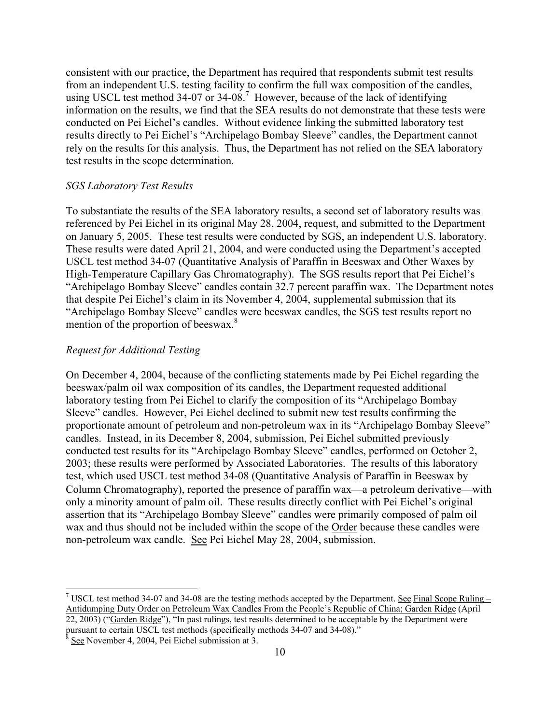consistent with our practice, the Department has required that respondents submit test results from an independent U.S. testing facility to confirm the full wax composition of the candles, usingUSCL test method 34-07 or 34-08.<sup>7</sup> However, because of the lack of identifying information on the results, we find that the SEA results do not demonstrate that these tests were conducted on Pei Eichel's candles. Without evidence linking the submitted laboratory test results directly to Pei Eichel's "Archipelago Bombay Sleeve" candles, the Department cannot rely on the results for this analysis. Thus, the Department has not relied on the SEA laboratory test results in the scope determination.

### *SGS Laboratory Test Results*

To substantiate the results of the SEA laboratory results, a second set of laboratory results was referenced by Pei Eichel in its original May 28, 2004, request, and submitted to the Department on January 5, 2005. These test results were conducted by SGS, an independent U.S. laboratory. These results were dated April 21, 2004, and were conducted using the Department's accepted USCL test method 34-07 (Quantitative Analysis of Paraffin in Beeswax and Other Waxes by High-Temperature Capillary Gas Chromatography). The SGS results report that Pei Eichel's "Archipelago Bombay Sleeve" candles contain 32.7 percent paraffin wax. The Department notes that despite Pei Eichel's claim in its November 4, 2004, supplemental submission that its "Archipelago Bombay Sleeve" candles were beeswax candles, the SGS test results report no mention of the proportion of beeswax.<sup>[8](#page-9-1)</sup>

## *Request for Additional Testing*

On December 4, 2004, because of the conflicting statements made by Pei Eichel regarding the beeswax/palm oil wax composition of its candles, the Department requested additional laboratory testing from Pei Eichel to clarify the composition of its "Archipelago Bombay Sleeve" candles. However, Pei Eichel declined to submit new test results confirming the proportionate amount of petroleum and non-petroleum wax in its "Archipelago Bombay Sleeve" candles. Instead, in its December 8, 2004, submission, Pei Eichel submitted previously conducted test results for its "Archipelago Bombay Sleeve" candles, performed on October 2, 2003; these results were performed by Associated Laboratories. The results of this laboratory test, which used USCL test method 34-08 (Quantitative Analysis of Paraffin in Beeswax by Column Chromatography), reported the presence of paraffin wax—a petroleum derivative—with only a minority amount of palm oil. These results directly conflict with Pei Eichel's original assertion that its "Archipelago Bombay Sleeve" candles were primarily composed of palm oil wax and thus should not be included within the scope of the Order because these candles were non-petroleum wax candle. See Pei Eichel May 28, 2004, submission.

 $\overline{a}$ 

<span id="page-9-0"></span><sup>&</sup>lt;sup>7</sup> USCL test method 34-07 and 34-08 are the testing methods accepted by the Department. <u>See Final Scope Ruling</u> – Antidumping Duty Order on Petroleum Wax Candles From the People's Republic of China; Garden Ridge (April 22, 2003) ("Garden Ridge"), "In past rulings, test results determined to be acceptable by the Department were pursuant to certain USCL test methods (specifically methods 34-07 and 34-08)."

<span id="page-9-1"></span> $8 \text{ See}$  November 4, 2004, Pei Eichel submission at 3.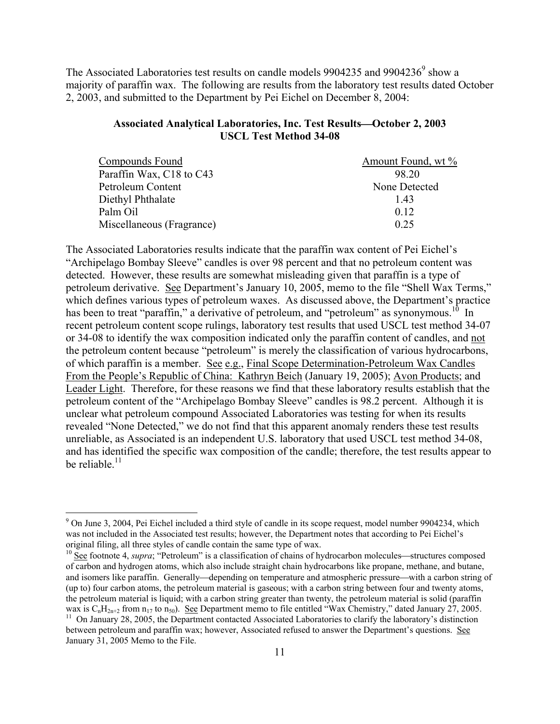The Associated Laboratories test results on candle models [9](#page-10-0)904235 and 9904236 $^9$  show a majority of paraffin wax. The following are results from the laboratory test results dated October 2, 2003, and submitted to the Department by Pei Eichel on December 8, 2004:

# Associated Analytical Laboratories, Inc. Test Results-October 2, 2003 **USCL Test Method 34-08**

| Compounds Found           | Amount Found, wt % |
|---------------------------|--------------------|
| Paraffin Wax, C18 to C43  | 98.20              |
| Petroleum Content         | None Detected      |
| Diethyl Phthalate         | 143                |
| Palm Oil                  | 0.12               |
| Miscellaneous (Fragrance) | 0.25               |

The Associated Laboratories results indicate that the paraffin wax content of Pei Eichel's "Archipelago Bombay Sleeve" candles is over 98 percent and that no petroleum content was detected. However, these results are somewhat misleading given that paraffin is a type of petroleum derivative. See Department's January 10, 2005, memo to the file "Shell Wax Terms," which defines various types of petroleum waxes. As discussed above, the Department's practice has been to treat "paraffin," a derivative of petroleum, and "petroleum" as synonymous.<sup>10</sup> In recent petroleum content scope rulings, laboratory test results that used USCL test method 34-07 or 34-08 to identify the wax composition indicated only the paraffin content of candles, and not the petroleum content because "petroleum" is merely the classification of various hydrocarbons, of which paraffin is a member. See e.g., Final Scope Determination-Petroleum Wax Candles From the People's Republic of China: Kathryn Beich (January 19, 2005); Avon Products; and Leader Light. Therefore, for these reasons we find that these laboratory results establish that the petroleum content of the "Archipelago Bombay Sleeve" candles is 98.2 percent. Although it is unclear what petroleum compound Associated Laboratories was testing for when its results revealed "None Detected," we do not find that this apparent anomaly renders these test results unreliable, as Associated is an independent U.S. laboratory that used USCL test method 34-08, and has identified the specific wax composition of the candle; therefore, the test results appear to be reliable. $11$ 

 $\overline{a}$ 

<span id="page-10-0"></span><sup>&</sup>lt;sup>9</sup> On June 3, 2004, Pei Eichel included a third style of candle in its scope request, model number 9904234, which was not included in the Associated test results; however, the Department notes that according to Pei Eichel's original filing, all three styles of candle contain the same type of wax.

<span id="page-10-1"></span><sup>&</sup>lt;sup>10</sup> See footnote 4, *supra*; "Petroleum" is a classification of chains of hydrocarbon molecules—structures composed of carbon and hydrogen atoms, which also include straight chain hydrocarbons like propane, methane, and butane, and isomers like paraffin. Generally—depending on temperature and atmospheric pressure—with a carbon string of (up to) four carbon atoms, the petroleum material is gaseous; with a carbon string between four and twenty atoms, the petroleum material is liquid; with a carbon string greater than twenty, the petroleum material is solid (paraffin wax is  $C_nH_{2n+2}$  from  $n_{17}$  to  $n_{50}$ ). See Department memo to file entitled "Wax Chemistry," dated January 27, 2005.

<span id="page-10-2"></span><sup>&</sup>lt;sup>11</sup> On January 28, 2005, the Department contacted Associated Laboratories to clarify the laboratory's distinction between petroleum and paraffin wax; however, Associated refused to answer the Department's questions. See January 31, 2005 Memo to the File.